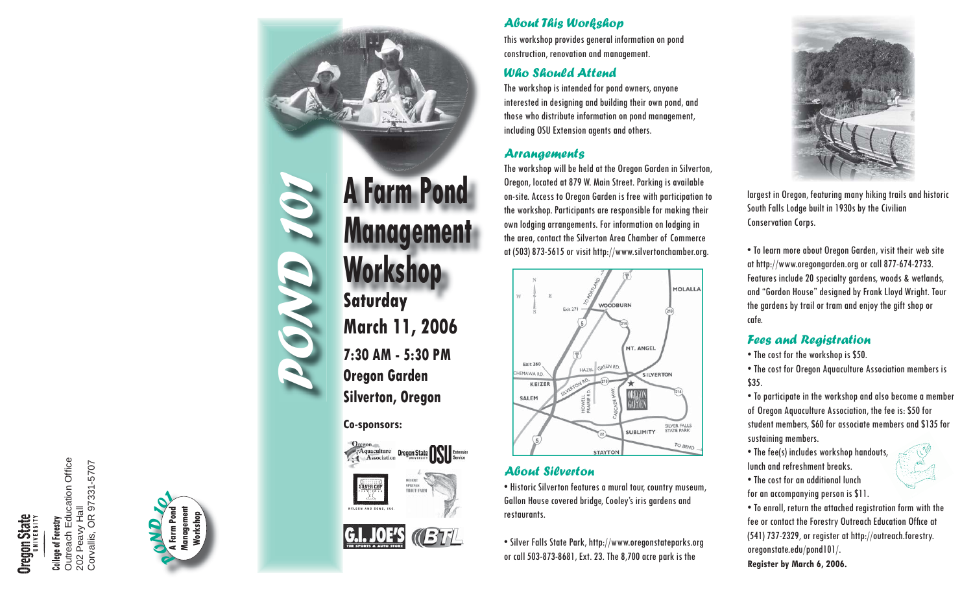# **Oregon State**

College of Forestry<br>Outreach Education Office Outreach Education Office Peavy Hall<br>vallis, OR 97331-5707 Corvallis, OR 97331-5707 202 Peavy Hall Corvallis, 202



## **POND 1011 Managemer<br>
Workshop**<br>
Saturday<br>
March 11, 2006<br>
7:30 AM - 5:30 PM<br>
Oregon Garden **Silverton, Oregon A Farm Pond Management Workshop**

**Co-sponsors:**





## 137 FIL

## *About This Workshop*

This workshop provides general information on pond construction, renovation and management.

## *Who Should Attend*

The workshop is intended for pond owners, anyone interested in designing and building their own pond, and those who distribute information on pond management, including OSU Extension agents and others.

## *Arrangements*

The workshop will be held at the Oregon Garden in Silverton, Oregon, located at 879 W. Main Street. Parking is available on-site. Access to Oregon Garden is free with participation to the workshop. Participants are responsible for making their own lodging arrangements. For information on lodging in the area, contact the Silverton Area Chamber of Commerce at (503) 873-5615 or visit http://www.silvertonchamber.org.



## *About Silverton*

• Historic Silverton features a mural tour, country museum, Gallon House covered bridge, Cooley's iris gardens and restaurants.

• Silver Falls State Park, http://www.oregonstateparks.org or call 503-873-8681, Ext. 23. The 8,700 acre park is the



largest in Oregon, featuring many hiking trails and historic South Falls Lodge built in 1930s by the Civilian Conservation Corps.

• To learn more about Oregon Garden, visit their web site at http://www.oregongarden.org or call 877-674-2733. Features include 20 specialty gardens, woods & wetlands, and "Gordon House" designed by Frank Lloyd Wright. Tour the gardens by trail or tram and enjoy the gift shop or cafe.

## *Fees and Registration*

• The cost for the workshop is \$50.

• The cost for Oregon Aquaculture Association members is \$35.

• To participate in the workshop and also become a member of Oregon Aquaculture Association, the fee is: \$50 for student members, \$60 for associate members and \$135 for sustaining members.

• The fee(s) includes workshop handouts, lunch and refreshment breaks.

• The cost for an additional lunchfor an accompanying person is \$11.

• To enroll, return the attached registration form with the fee or contact the Forestry Outreach Education Office at (541) 737-2329, or register at http://outreach.forestry. oregonstate.edu/pond101/.

**Register by March 6, 2006.**